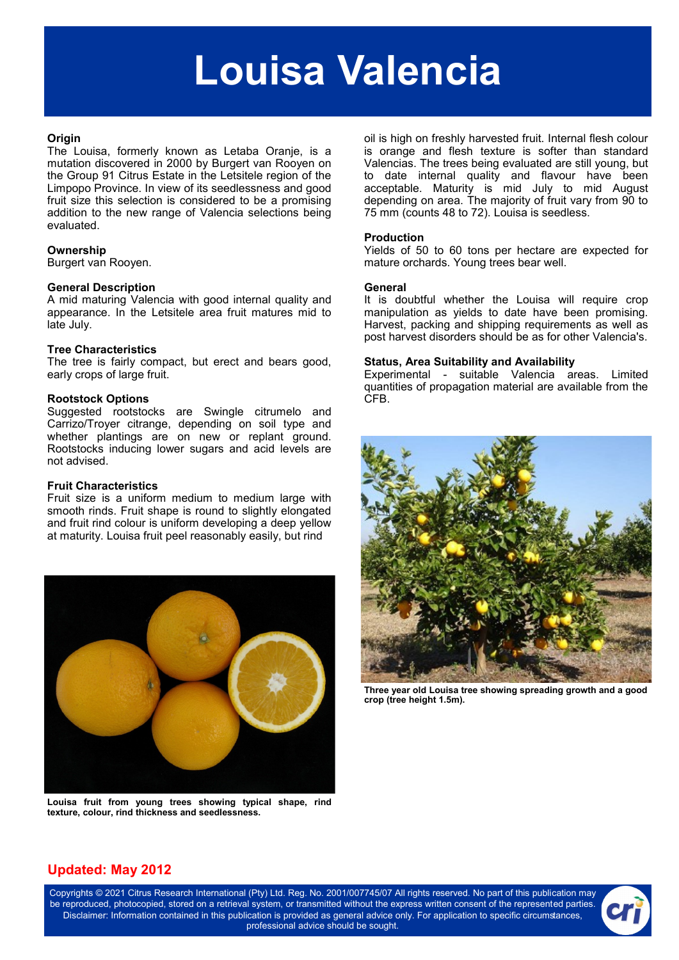# **Louisa Valencia**

#### **Origin**

The Louisa, formerly known as Letaba Oranje, is a mutation discovered in 2000 by Burgert van Rooyen on the Group 91 Citrus Estate in the Letsitele region of the Limpopo Province. In view of its seedlessness and good fruit size this selection is considered to be a promising addition to the new range of Valencia selections being evaluated.

## **Ownership**

Burgert van Rooyen.

#### **General Description**

A mid maturing Valencia with good internal quality and appearance. In the Letsitele area fruit matures mid to late July.

#### **Tree Characteristics**

The tree is fairly compact, but erect and bears good, early crops of large fruit.

#### **Rootstock Options**

Suggested rootstocks are Swingle citrumelo and Carrizo/Troyer citrange, depending on soil type and whether plantings are on new or replant ground. Rootstocks inducing lower sugars and acid levels are not advised.

#### **Fruit Characteristics**

Fruit size is a uniform medium to medium large with smooth rinds. Fruit shape is round to slightly elongated and fruit rind colour is uniform developing a deep yellow at maturity. Louisa fruit peel reasonably easily, but rind



**Louisa fruit from young trees showing typical shape, rind texture, colour, rind thickness and seedlessness.**

oil is high on freshly harvested fruit. Internal flesh colour is orange and flesh texture is softer than standard Valencias. The trees being evaluated are still young, but to date internal quality and flavour have been acceptable. Maturity is mid July to mid August depending on area. The majority of fruit vary from 90 to 75 mm (counts 48 to 72). Louisa is seedless.

#### **Production**

Yields of 50 to 60 tons per hectare are expected for mature orchards. Young trees bear well.

#### **General**

It is doubtful whether the Louisa will require crop manipulation as yields to date have been promising. Harvest, packing and shipping requirements as well as post harvest disorders should be as for other Valencia's.

#### **Status, Area Suitability and Availability**

Experimental - suitable Valencia areas. Limited quantities of propagation material are available from the CFB.



**Three year old Louisa tree showing spreading growth and a good crop (tree height 1.5m).**

# **Updated: May 2012**

Copyrights © 2021 Citrus Research International (Pty) Ltd. Reg. No. 2001/007745/07 All rights reserved. No part of this publication may be reproduced, photocopied, stored on a retrieval system, or transmitted without the express written consent of the represented parties. Disclaimer: Information contained in this publication is provided as general advice only. For application to specific circumstances, professional advice should be sought.